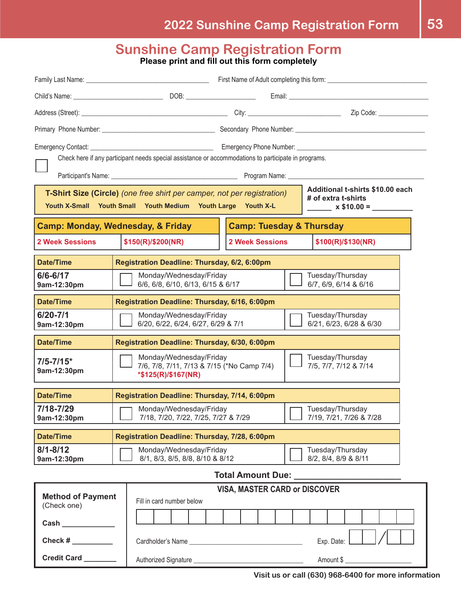**53**

# **Sunshine Camp Registration Form 2022 Sunshine Camp Registration Form**

**Please print and fill out this form completely Please print and fill out this form completely**

|                                                                          | Check here if any participant needs special assistance or accommodations to participate in programs.                                    |                                                                         |
|--------------------------------------------------------------------------|-----------------------------------------------------------------------------------------------------------------------------------------|-------------------------------------------------------------------------|
|                                                                          | T-Shirt Size (Circle) (one free shirt per camper, not per registration)<br>Youth X-Small Youth Small Youth Medium Youth Large Youth X-L | Additional t-shirts \$10.00 each<br># of extra t-shirts<br>$x $10.00 =$ |
| Camp: Monday, Wednesday, & Friday<br><b>Camp: Tuesday &amp; Thursday</b> |                                                                                                                                         |                                                                         |
| <b>2 Week Sessions</b>                                                   | \$150(R)/\$200(NR)<br><b>2 Week Sessions</b>                                                                                            | \$100(R)/\$130(NR)                                                      |
| <b>Date/Time</b><br>Registration Deadline: Thursday, 6/2, 6:00pm         |                                                                                                                                         |                                                                         |
| 6/6-6/17<br>9am-12:30pm                                                  | Monday/Wednesday/Friday<br>6/6, 6/8, 6/10, 6/13, 6/15 & 6/17                                                                            | Tuesday/Thursday<br>6/7, 6/9, 6/14 & 6/16                               |
| Date/Time<br>Registration Deadline: Thursday, 6/16, 6:00pm               |                                                                                                                                         |                                                                         |
| 6/20-7/1<br>9am-12:30pm                                                  | Monday/Wednesday/Friday<br>6/20, 6/22, 6/24, 6/27, 6/29 & 7/1                                                                           | Tuesday/Thursday<br>6/21, 6/23, 6/28 & 6/30                             |
| <b>Date/Time</b><br>Registration Deadline: Thursday, 6/30, 6:00pm        |                                                                                                                                         |                                                                         |
| 7/5-7/15*<br>9am-12:30pm                                                 | Monday/Wednesday/Friday<br>7/6, 7/8, 7/11, 7/13 & 7/15 (*No Camp 7/4)<br>*\$125(R)/\$167(NR)                                            | Tuesday/Thursday<br>7/5, 7/7, 7/12 & 7/14                               |
| <b>Date/Time</b>                                                         | Registration Deadline: Thursday, 7/14, 6:00pm                                                                                           |                                                                         |
| 7/18-7/29<br>9am-12:30pm                                                 | Monday/Wednesday/Friday<br>7/18, 7/20, 7/22, 7/25, 7/27 & 7/29                                                                          | Tuesday/Thursday<br>7/19, 7/21, 7/26 & 7/28                             |
| <b>Date/Time</b><br>Registration Deadline: Thursday, 7/28, 6:00pm        |                                                                                                                                         |                                                                         |
| $8/1 - 8/12$<br>9am-12:30pm                                              | Monday/Wednesday/Friday<br>8/1, 8/3, 8/5, 8/8, 8/10 & 8/12                                                                              | Tuesday/Thursday<br>8/2, 8/4, 8/9 & 8/11                                |
| Total Amount Due: ___________                                            |                                                                                                                                         |                                                                         |
| <b>Method of Payment</b><br>(Check one)                                  | <b>VISA, MASTER CARD or DISCOVER</b><br>Fill in card number below                                                                       |                                                                         |
| Cash _____________                                                       |                                                                                                                                         |                                                                         |
| Check # _________                                                        |                                                                                                                                         | Exp. Date:                                                              |

Authorized Signature \_\_\_\_\_\_\_\_\_\_\_\_\_\_\_\_\_\_\_\_\_\_\_\_\_\_\_\_\_\_\_\_\_ Amount \$ \_\_\_\_\_\_\_\_\_\_\_\_\_\_\_\_\_\_\_\_

**Credit Card \_\_\_\_\_\_\_\_**